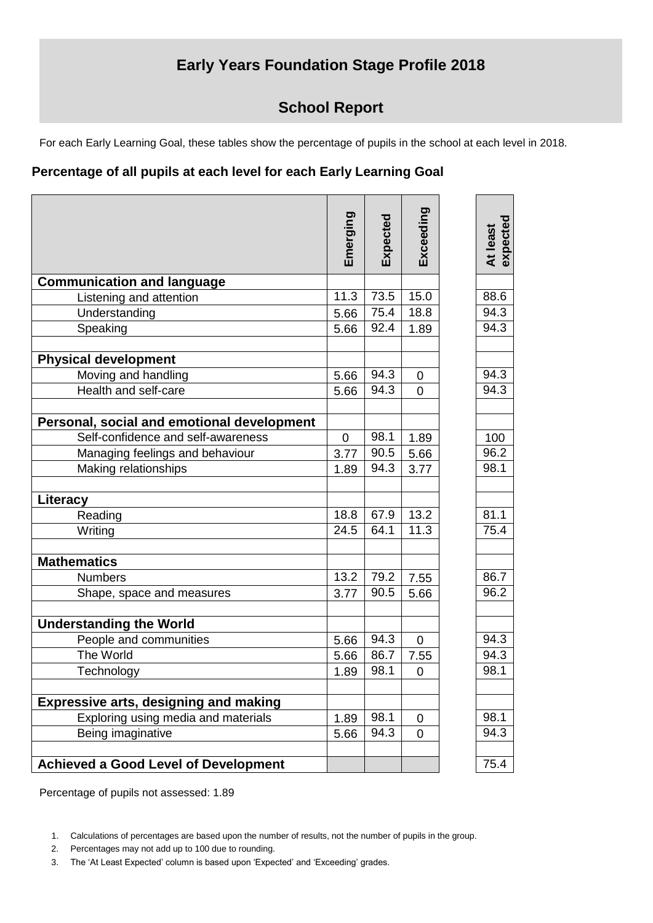## **Early Years Foundation Stage Profile 2018**

## **School Report**

For each Early Learning Goal, these tables show the percentage of pupils in the school at each level in 2018.

## **Percentage of all pupils at each level for each Early Learning Goal**

|                                              | Emerging       | Expected | Exceeding      | expected<br>At least |
|----------------------------------------------|----------------|----------|----------------|----------------------|
| <b>Communication and language</b>            |                |          |                |                      |
| Listening and attention                      | 11.3           | 73.5     | 15.0           | 88.6                 |
| Understanding                                | 5.66           | 75.4     | 18.8           | 94.3                 |
| Speaking                                     | 5.66           | 92.4     | 1.89           | 94.3                 |
| <b>Physical development</b>                  |                |          |                |                      |
| Moving and handling                          | 5.66           | 94.3     | 0              | 94.3                 |
| Health and self-care                         | 5.66           | 94.3     | $\overline{0}$ | 94.3                 |
| Personal, social and emotional development   |                |          |                |                      |
| Self-confidence and self-awareness           | $\overline{0}$ | 98.1     | 1.89           | 100                  |
| Managing feelings and behaviour              | 3.77           | 90.5     | 5.66           | 96.2                 |
| Making relationships                         | 1.89           | 94.3     | 3.77           | 98.1                 |
| Literacy                                     |                |          |                |                      |
| Reading                                      | 18.8           | 67.9     | 13.2           | 81.1                 |
| Writing                                      | 24.5           | 64.1     | 11.3           | 75.4                 |
| <b>Mathematics</b>                           |                |          |                |                      |
| <b>Numbers</b>                               | 13.2           | 79.2     | 7.55           | 86.7                 |
| Shape, space and measures                    | 3.77           | 90.5     | 5.66           | 96.2                 |
| <b>Understanding the World</b>               |                |          |                |                      |
| People and communities                       | 5.66           | 94.3     | $\mathbf 0$    | 94.3                 |
| The World                                    | 5.66           | 86.7     | 7.55           | 94.3                 |
| Technology                                   | 1.89           | 98.1     | 0              | 98.1                 |
| <b>Expressive arts, designing and making</b> |                |          |                |                      |
| Exploring using media and materials          | 1.89           | 98.1     | $\mathbf 0$    | 98.1                 |
| Being imaginative                            | 5.66           | 94.3     | $\overline{0}$ | 94.3                 |
|                                              |                |          |                |                      |
| <b>Achieved a Good Level of Development</b>  |                |          |                | 75.4                 |

Percentage of pupils not assessed: 1.89

- 2. Percentages may not add up to 100 due to rounding.
- 3. The 'At Least Expected' column is based upon 'Expected' and 'Exceeding' grades.

<sup>1.</sup> Calculations of percentages are based upon the number of results, not the number of pupils in the group.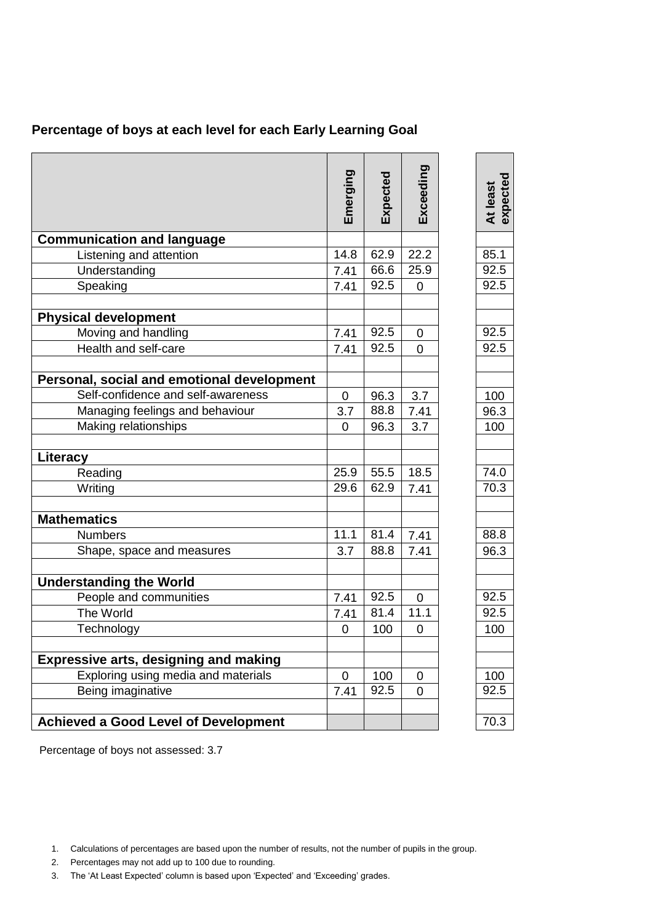| Percentage of boys at each level for each Early Learning Goal |  |  |  |  |
|---------------------------------------------------------------|--|--|--|--|
|                                                               |  |  |  |  |

|                                              | Emerging       | Expected | Exceeding      | expected<br>At least |
|----------------------------------------------|----------------|----------|----------------|----------------------|
| <b>Communication and language</b>            |                |          |                |                      |
| Listening and attention                      | 14.8           | 62.9     | 22.2           | 85.1                 |
| Understanding                                | 7.41           | 66.6     | 25.9           | 92.5                 |
| Speaking                                     | 7.41           | 92.5     | $\overline{0}$ | 92.5                 |
|                                              |                |          |                |                      |
| <b>Physical development</b>                  |                |          |                |                      |
| Moving and handling                          | 7.41           | 92.5     | 0              | 92.5                 |
| Health and self-care                         | 7.41           | 92.5     | 0              | 92.5                 |
|                                              |                |          |                |                      |
| Personal, social and emotional development   |                |          |                |                      |
| Self-confidence and self-awareness           | $\mathbf 0$    | 96.3     | 3.7            | 100                  |
| Managing feelings and behaviour              | 3.7            | 88.8     | 7.41           | 96.3                 |
| Making relationships                         | 0              | 96.3     | 3.7            | 100                  |
|                                              |                |          |                |                      |
| Literacy                                     |                |          |                |                      |
| Reading                                      | 25.9           | 55.5     | 18.5           | 74.0                 |
| Writing                                      | 29.6           | 62.9     | 7.41           | 70.3                 |
|                                              |                |          |                |                      |
| <b>Mathematics</b>                           |                |          |                |                      |
| <b>Numbers</b>                               | 11.1           | 81.4     | 7.41           | 88.8                 |
| Shape, space and measures                    | 3.7            | 88.8     | 7.41           | 96.3                 |
|                                              |                |          |                |                      |
| <b>Understanding the World</b>               |                |          |                |                      |
| People and communities                       | 7.41           | 92.5     | $\overline{0}$ | 92.5                 |
| The World                                    | 7.41           | 81.4     | 11.1           | 92.5                 |
| Technology                                   | 0              | 100      | 0              | 100                  |
|                                              |                |          |                |                      |
| <b>Expressive arts, designing and making</b> |                |          |                |                      |
| Exploring using media and materials          | $\overline{0}$ | 100      | $\Omega$       | 100                  |
| Being imaginative                            | 7.41           | 92.5     | 0              | 92.5                 |
|                                              |                |          |                |                      |
| <b>Achieved a Good Level of Development</b>  |                |          |                | 70.3                 |

Percentage of boys not assessed: 3.7

- 2. Percentages may not add up to 100 due to rounding.
- 3. The 'At Least Expected' column is based upon 'Expected' and 'Exceeding' grades.

<sup>1.</sup> Calculations of percentages are based upon the number of results, not the number of pupils in the group.